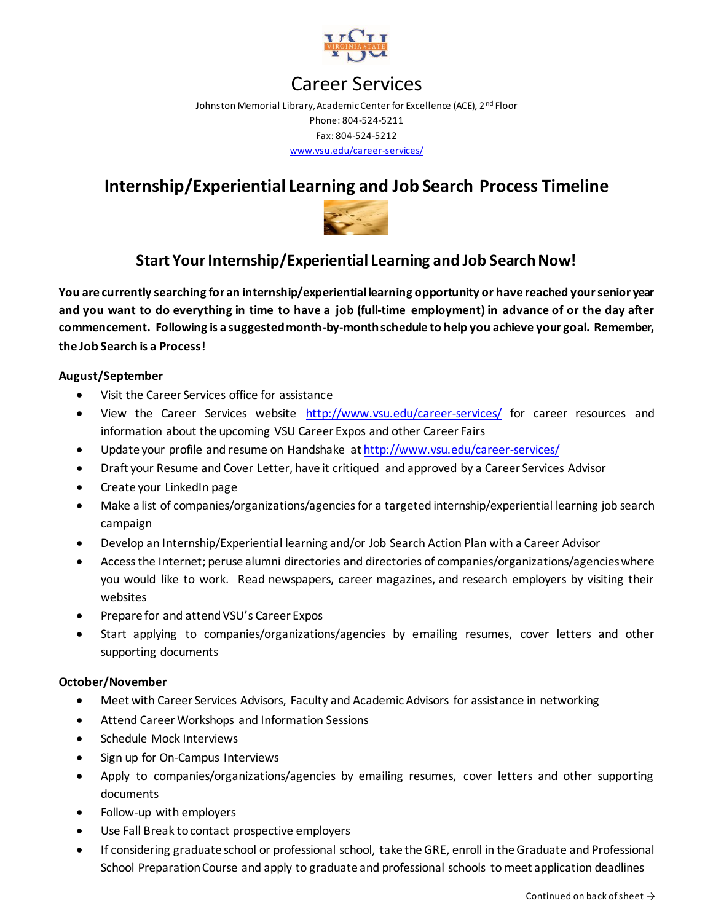

# Career Services

Johnston Memorial Library, Academic Center for Excellence (ACE), 2<sup>nd</sup> Floor Phone: 804-524-5211 Fax: 804-524-5212 [www.vsu.edu/career-services/](http://www.vsu.edu/career-services/)

## **Internship/Experiential Learning and Job Search Process Timeline**



### **Start YourInternship/Experiential Learning and Job Search Now!**

**You are currently searching for an internship/experiential learning opportunity or have reached your senior year and you want to do everything in time to have a job (full-time employment) in advance of or the day after commencement. Following is a suggested month-by-month schedule to help you achieve your goal. Remember, the Job Search is a Process!**

#### **August/September**

- Visit the Career Services office for assistance
- View the Career Services website <http://www.vsu.edu/career-services/> for career resources and information about the upcoming VSU Career Expos and other Career Fairs
- Update your profile and resume on Handshake a[t http://www.vsu.edu/career-services/](http://www.vsu.edu/career-services/)
- Draft your Resume and Cover Letter, have it critiqued and approved by a Career Services Advisor
- Create your LinkedIn page
- Make a list of companies/organizations/agencies for a targeted internship/experiential learning job search campaign
- Develop an Internship/Experiential learning and/or Job Search Action Plan with a Career Advisor
- Access the Internet; peruse alumni directories and directories of companies/organizations/agencies where you would like to work. Read newspapers, career magazines, and research employers by visiting their websites
- Prepare for and attend VSU's Career Expos
- Start applying to companies/organizations/agencies by emailing resumes, cover letters and other supporting documents

#### **October/November**

- Meet with Career Services Advisors, Faculty and Academic Advisors for assistance in networking
- Attend Career Workshops and Information Sessions
- Schedule Mock Interviews
- Sign up for On-Campus Interviews
- Apply to companies/organizations/agencies by emailing resumes, cover letters and other supporting documents
- Follow-up with employers
- Use Fall Break to contact prospective employers
- If considering graduate school or professional school, take the GRE, enroll in the Graduate and Professional School Preparation Course and apply to graduate and professional schools to meet application deadlines